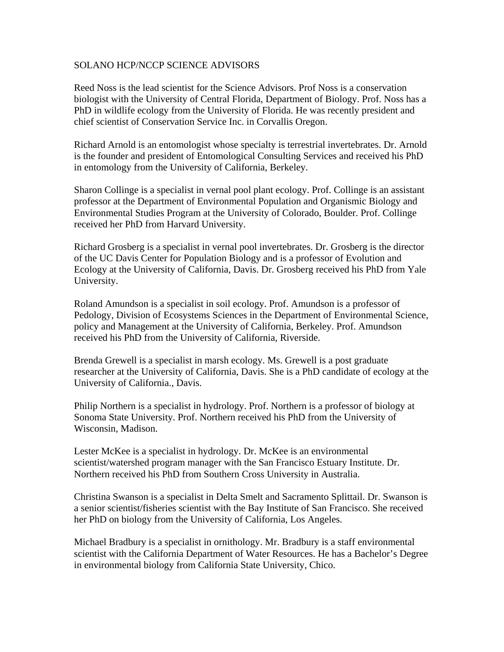## SOLANO HCP/NCCP SCIENCE ADVISORS

Reed Noss is the lead scientist for the Science Advisors. Prof Noss is a conservation biologist with the University of Central Florida, Department of Biology. Prof. Noss has a PhD in wildlife ecology from the University of Florida. He was recently president and chief scientist of Conservation Service Inc. in Corvallis Oregon.

Richard Arnold is an entomologist whose specialty is terrestrial invertebrates. Dr. Arnold is the founder and president of Entomological Consulting Services and received his PhD in entomology from the University of California, Berkeley.

Sharon Collinge is a specialist in vernal pool plant ecology. Prof. Collinge is an assistant professor at the Department of Environmental Population and Organismic Biology and Environmental Studies Program at the University of Colorado, Boulder. Prof. Collinge received her PhD from Harvard University.

Richard Grosberg is a specialist in vernal pool invertebrates. Dr. Grosberg is the director of the UC Davis Center for Population Biology and is a professor of Evolution and Ecology at the University of California, Davis. Dr. Grosberg received his PhD from Yale University.

Roland Amundson is a specialist in soil ecology. Prof. Amundson is a professor of Pedology, Division of Ecosystems Sciences in the Department of Environmental Science, policy and Management at the University of California, Berkeley. Prof. Amundson received his PhD from the University of California, Riverside.

Brenda Grewell is a specialist in marsh ecology. Ms. Grewell is a post graduate researcher at the University of California, Davis. She is a PhD candidate of ecology at the University of California., Davis.

Philip Northern is a specialist in hydrology. Prof. Northern is a professor of biology at Sonoma State University. Prof. Northern received his PhD from the University of Wisconsin, Madison.

Lester McKee is a specialist in hydrology. Dr. McKee is an environmental scientist/watershed program manager with the San Francisco Estuary Institute. Dr. Northern received his PhD from Southern Cross University in Australia.

Christina Swanson is a specialist in Delta Smelt and Sacramento Splittail. Dr. Swanson is a senior scientist/fisheries scientist with the Bay Institute of San Francisco. She received her PhD on biology from the University of California, Los Angeles.

Michael Bradbury is a specialist in ornithology. Mr. Bradbury is a staff environmental scientist with the California Department of Water Resources. He has a Bachelor's Degree in environmental biology from California State University, Chico.